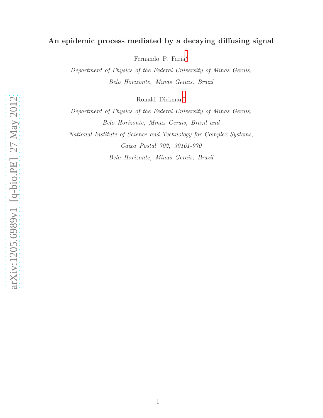# An epidemic process mediated by a decaying diffusing signal

Fernando P. Faria[∗](#page-1-0)

Department of Physics of the Federal University of Minas Gerais, Belo Horizonte, Minas Gerais, Brazil

Ronald Dickman[†](#page-1-1)

Department of Physics of the Federal University of Minas Gerais, Belo Horizonte, Minas Gerais, Brazil and National Institute of Science and Technology for Complex Systems, Caixa Postal 702, 30161-970 Belo Horizonte, Minas Gerais, Brazil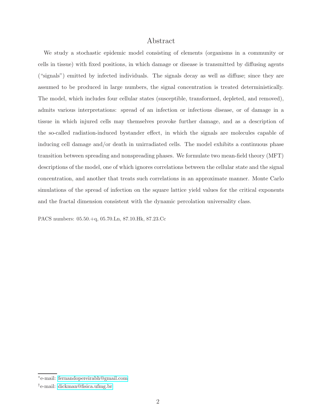## Abstract

We study a stochastic epidemic model consisting of elements (organisms in a community or cells in tissue) with fixed positions, in which damage or disease is transmitted by diffusing agents ("signals") emitted by infected individuals. The signals decay as well as diffuse; since they are assumed to be produced in large numbers, the signal concentration is treated deterministically. The model, which includes four cellular states (susceptible, transformed, depleted, and removed), admits various interpretations: spread of an infection or infectious disease, or of damage in a tissue in which injured cells may themselves provoke further damage, and as a description of the so-called radiation-induced bystander effect, in which the signals are molecules capable of inducing cell damage and/or death in unirradiated cells. The model exhibits a continuous phase transition between spreading and nonspreading phases. We formulate two mean-field theory (MFT) descriptions of the model, one of which ignores correlations between the cellular state and the signal concentration, and another that treats such correlations in an approximate manner. Monte Carlo simulations of the spread of infection on the square lattice yield values for the critical exponents and the fractal dimension consistent with the dynamic percolation universality class.

PACS numbers: 05.50.+q, 05.70.Ln, 87.10.Hk, 87.23.Cc

<span id="page-1-1"></span><span id="page-1-0"></span><sup>∗</sup> e-mail: [fernandopereirabh@gmail.com](mailto:fernandopereirabh@gmail.com)

<sup>†</sup> e-mail: [dickman@fisica.ufmg.br](mailto:dickman@fisica.ufmg.br)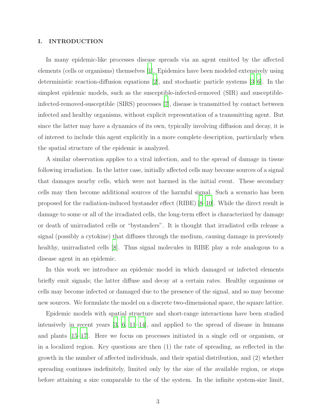#### I. INTRODUCTION

In many epidemic-like processes disease spreads via an agent emitted by the affected elements (cells or organisms) themselves [\[1](#page-23-0)]. Epidemics have been modeled extensively using deterministic reaction-diffusion equations [\[2](#page-23-1)], and stochastic particle systems [\[3](#page-23-2)[–6\]](#page-23-3). In the simplest epidemic models, such as the susceptible-infected-removed (SIR) and susceptibleinfected-removed-susceptible (SIRS) processes [\[7](#page-23-4)], disease is transmitted by contact between infected and healthy organisms, without explicit representation of a transmitting agent. But since the latter may have a dynamics of its own, typically involving diffusion and decay, it is of interest to include this agent explicitly in a more complete description, particularly when the spatial structure of the epidemic is analyzed.

A similar observation applies to a viral infection, and to the spread of damage in tissue following irradiation. In the latter case, initially affected cells may become sources of a signal that damages nearby cells, which were not harmed in the initial event. These secondary cells may then become additional sources of the harmful signal. Such a scenario has been proposed for the radiation-induced bystander effect (RIBE) [\[8](#page-23-5)[–10\]](#page-23-6). While the direct result is damage to some or all of the irradiated cells, the long-term effect is characterized by damage or death of unirradiated cells or "bystanders". It is thought that irradiated cells release a signal (possibly a cytokine) that diffuses through the medium, causing damage in previously healthy, unirradiated cells [\[8](#page-23-5)]. Thus signal molecules in RIBE play a role analogous to a disease agent in an epidemic.

In this work we introduce an epidemic model in which damaged or infected elements briefly emit signals; the latter diffuse and decay at a certain rates. Healthy organisms or cells may become infected or damaged due to the presence of the signal, and so may become new sources. We formulate the model on a discrete two-dimensional space, the square lattice.

Epidemic models with spatial structure and short-range interactions have been studied intensively in recent years [\[3,](#page-23-2) [6](#page-23-3), [11](#page-23-7)[–14\]](#page-23-8), and applied to the spread of disease in humans and plants [\[15](#page-23-9)[–17\]](#page-23-10). Here we focus on processes initiated in a single cell or organism, or in a localized region. Key questions are then (1) the rate of spreading, as reflected in the growth in the number of affected individuals, and their spatial distribution, and (2) whether spreading continues indefinitely, limited only by the size of the available region, or stops before attaining a size comparable to the of the system. In the infinite system-size limit,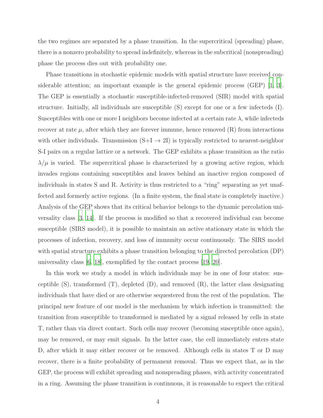the two regimes are separated by a phase transition. In the supercritical (spreading) phase, there is a nonzero probability to spread indefinitely, whereas in the subcritical (nonspreading) phase the process dies out with probability one.

Phase transitions in stochastic epidemic models with spatial structure have received considerable attention; an important example is the general epidemic process (GEP) [\[1](#page-23-0), [3\]](#page-23-2). The GEP is essentially a stochastic susceptible-infected-removed (SIR) model with spatial structure. Initially, all individuals are susceptible (S) except for one or a few infecteds (I). Susceptibles with one or more I neighbors become infected at a certain rate  $\lambda$ , while infecteds recover at rate  $\mu$ , after which they are forever immune, hence removed  $(R)$  from interactions with other individuals. Transmission  $(S+I \rightarrow 2I)$  is typically restricted to nearest-neighbor S-I pairs on a regular lattice or a network. The GEP exhibits a phase transition as the ratio  $\lambda/\mu$  is varied. The supercritical phase is characterized by a growing active region, which invades regions containing susceptibles and leaves behind an inactive region composed of individuals in states S and R. Activity is thus restricted to a "ring" separating as yet unaffected and formerly active regions. (In a finite system, the final state is completely inactive.) Analysis of the GEP shows that its critical behavior belongs to the dynamic percolation universality class [\[3,](#page-23-2) [14](#page-23-8)]. If the process is modified so that a recovered individual can become susceptible (SIRS model), it is possible to maintain an active stationary state in which the processes of infection, recovery, and loss of immunity occur continuously. The SIRS model with spatial structure exhibits a phase transition belonging to the directed percolation (DP) universality class [\[6,](#page-23-3) [18\]](#page-23-11), exemplified by the contact process [\[19,](#page-23-12) [20\]](#page-23-13).

In this work we study a model in which individuals may be in one of four states: susceptible (S), transformed (T), depleted (D), and removed (R), the latter class designating individuals that have died or are otherwise sequestered from the rest of the population. The principal new feature of our model is the mechanism by which infection is transmitted: the transition from susceptible to transformed is mediated by a signal released by cells in state T, rather than via direct contact. Such cells may recover (becoming susceptible once again), may be removed, or may emit signals. In the latter case, the cell immediately enters state D, after which it may either recover or be removed. Although cells in states T or D may recover, there is a finite probability of permanent removal. Thus we expect that, as in the GEP, the process will exhibit spreading and nonspreading phases, with activity concentrated in a ring. Assuming the phase transition is continuous, it is reasonable to expect the critical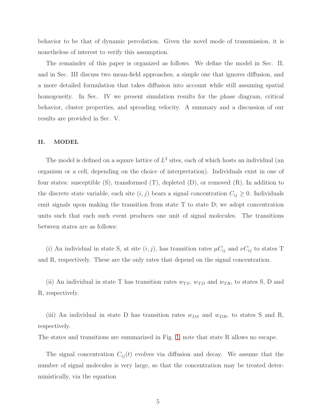behavior to be that of dynamic percolation. Given the novel mode of transmission, it is nonetheless of interest to verify this assumption.

The remainder of this paper is organized as follows. We define the model in Sec. II, and in Sec. III discuss two mean-field approaches, a simple one that ignores diffusion, and a more detailed formulation that takes diffusion into account while still assuming spatial homogeneity. In Sec. IV we present simulation results for the phase diagram, critical behavior, cluster properties, and spreading velocity. A summary and a discussion of our results are provided in Sec. V.

### II. MODEL

The model is defined on a square lattice of  $L^2$  sites, each of which hosts an individual (an organism or a cell, depending on the choice of interpretation). Individuals exist in one of four states: susceptible (S), transformed (T), depleted (D), or removed (R). In addition to the discrete state variable, each site  $(i, j)$  bears a signal concentration  $C_{ij} \geq 0$ . Individuals emit signals upon making the transition from state T to state D; we adopt concentration units such that each such event produces one unit of signal molecules. The transitions between states are as follows:

(i) An individual in state S, at site  $(i, j)$ , has transition rates  $\mu C_{ij}$  and  $\nu C_{ij}$  to states T and R, respectively. These are the only rates that depend on the signal concentration.

(ii) An individual in state T has transition rates  $w_{TS}$ ,  $w_{TD}$  and  $w_{TR}$ , to states S, D and R, respectively.

(iii) An individual in state D has transition rates  $w_{DS}$  and  $w_{DR}$ , to states S and R, respectively.

The states and transitions are summarized in Fig. [1;](#page-5-0) note that state R allows no escape.

The signal concentration  $C_{ij}(t)$  evolves via diffusion and decay. We assume that the number of signal molecules is very large, so that the concentration may be treated deterministically, via the equation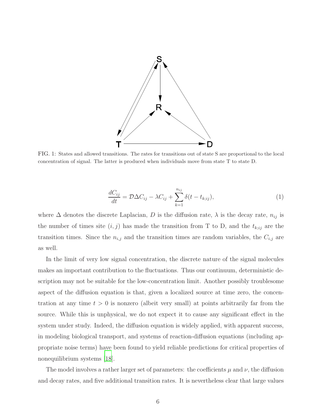

<span id="page-5-0"></span>FIG. 1: States and allowed transitions. The rates for transitions out of state S are proportional to the local concentration of signal. The latter is produced when individuals move from state T to state D.

<span id="page-5-1"></span>
$$
\frac{dC_{ij}}{dt} = \mathcal{D}\Delta C_{ij} - \lambda C_{ij} + \sum_{k=1}^{n_{ij}} \delta(t - t_{k;ij}),\tag{1}
$$

where  $\Delta$  denotes the discrete Laplacian, D is the diffusion rate,  $\lambda$  is the decay rate,  $n_{ij}$  is the number of times site  $(i, j)$  has made the transition from T to D, and the  $t_{k;ij}$  are the transition times. Since the  $n_{i,j}$  and the transition times are random variables, the  $C_{i,j}$  are as well.

In the limit of very low signal concentration, the discrete nature of the signal molecules makes an important contribution to the fluctuations. Thus our continuum, deterministic description may not be suitable for the low-concentration limit. Another possibly troublesome aspect of the diffusion equation is that, given a localized source at time zero, the concentration at any time  $t > 0$  is nonzero (albeit very small) at points arbitrarily far from the source. While this is unphysical, we do not expect it to cause any significant effect in the system under study. Indeed, the diffusion equation is widely applied, with apparent success, in modeling biological transport, and systems of reaction-diffusion equations (including appropriate noise terms) have been found to yield reliable predictions for critical properties of nonequilibrium systems [\[18](#page-23-11)].

The model involves a rather larger set of parameters: the coefficients  $\mu$  and  $\nu$ , the diffusion and decay rates, and five additional transition rates. It is nevertheless clear that large values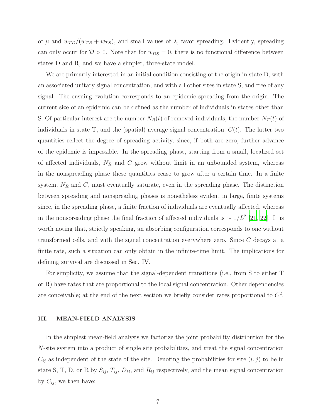of  $\mu$  and  $w_{TD}/(w_{TR} + w_{TS})$ , and small values of  $\lambda$ , favor spreading. Evidently, spreading can only occur for  $D > 0$ . Note that for  $w_{DS} = 0$ , there is no functional difference between states D and R, and we have a simpler, three-state model.

We are primarily interested in an initial condition consisting of the origin in state D, with an associated unitary signal concentration, and with all other sites in state S, and free of any signal. The ensuing evolution corresponds to an epidemic spreading from the origin. The current size of an epidemic can be defined as the number of individuals in states other than S. Of particular interest are the number  $N_R(t)$  of removed individuals, the number  $N_T(t)$  of individuals in state T, and the (spatial) average signal concentration,  $C(t)$ . The latter two quantities reflect the degree of spreading activity, since, if both are zero, further advance of the epidemic is impossible. In the spreading phase, starting from a small, localized set of affected individuals,  $N_R$  and C grow without limit in an unbounded system, whereas in the nonspreading phase these quantities cease to grow after a certain time. In a finite system,  $N_R$  and  $C$ , must eventually saturate, even in the spreading phase. The distinction between spreading and nonspreading phases is nonetheless evident in large, finite systems since, in the spreading phase, a finite fraction of individuals are eventually affected, whereas in the nonspreading phase the final fraction of affected individuals is  $\sim 1/L^2$  [\[21](#page-24-0), [22](#page-24-1)]. It is worth noting that, strictly speaking, an absorbing configuration corresponds to one without transformed cells, and with the signal concentration everywhere zero. Since C decays at a finite rate, such a situation can only obtain in the infinite-time limit. The implications for defining survival are discussed in Sec. IV.

For simplicity, we assume that the signal-dependent transitions (i.e., from S to either T or R) have rates that are proportional to the local signal concentration. Other dependencies are conceivable; at the end of the next section we briefly consider rates proportional to  $C^2$ .

#### III. MEAN-FIELD ANALYSIS

In the simplest mean-field analysis we factorize the joint probability distribution for the N-site system into a product of single site probabilities, and treat the signal concentration  $C_{ij}$  as independent of the state of the site. Denoting the probabilities for site  $(i, j)$  to be in state S, T, D, or R by  $S_{ij}$ ,  $T_{ij}$ ,  $D_{ij}$ , and  $R_{ij}$  respectively, and the mean signal concentration by  $C_{ij}$ , we then have: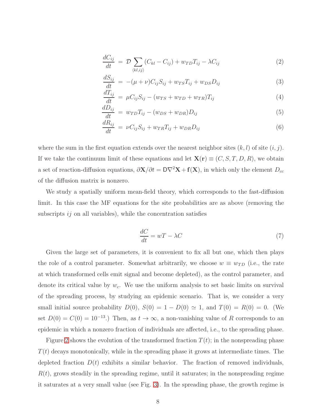<span id="page-7-0"></span>
$$
\frac{dC_{ij}}{dt} = \mathcal{D} \sum_{\langle kl, ij \rangle} (C_{kl} - C_{ij}) + w_{TD} T_{ij} - \lambda C_{ij}
$$
\n(2)

$$
\frac{dS_{ij}}{dt} = -(\mu + \nu)C_{ij}S_{ij} + w_{TS}T_{ij} + w_{DS}D_{ij}
$$
\n(3)

$$
\frac{dT_{ij}}{dt} = \mu C_{ij} S_{ij} - (w_{TS} + w_{TD} + w_{TR}) T_{ij}
$$
\n(4)

$$
\frac{dD_{ij}}{dt} = w_{TD}T_{ij} - (w_{DS} + w_{DR})D_{ij}
$$
\n(5)

$$
\frac{dR_{ij}}{dt} = \nu C_{ij} S_{ij} + w_{TR} T_{ij} + w_{DR} D_{ij}
$$
\n(6)

where the sum in the first equation extends over the nearest neighbor sites  $(k, l)$  of site  $(i, j)$ . If we take the continuum limit of these equations and let  $\mathbf{X}(\mathbf{r}) \equiv (C, S, T, D, R)$ , we obtain a set of reaction-diffusion equations,  $\partial \mathbf{X}/\partial t = \mathbf{D}\nabla^2\mathbf{X} + \mathbf{f}(\mathbf{X})$ , in which only the element  $D_{cc}$ of the diffusion matrix is nonzero.

We study a spatially uniform mean-field theory, which corresponds to the fast-diffusion limit. In this case the MF equations for the site probabilities are as above (removing the subscripts  $ij$  on all variables), while the concentration satisfies

$$
\frac{dC}{dt} = wT - \lambda C\tag{7}
$$

Given the large set of parameters, it is convenient to fix all but one, which then plays the role of a control parameter. Somewhat arbitrarily, we choose  $w \equiv w_{TD}$  (i.e., the rate at which transformed cells emit signal and become depleted), as the control parameter, and denote its critical value by  $w_c$ . We use the uniform analysis to set basic limits on survival of the spreading process, by studying an epidemic scenario. That is, we consider a very small initial source probability  $D(0)$ ,  $S(0) = 1 - D(0) \simeq 1$ , and  $T(0) = R(0) = 0$ . (We set  $D(0) = C(0) = 10^{-13}$ .) Then, as  $t \to \infty$ , a non-vanishing value of R corresponds to an epidemic in which a nonzero fraction of individuals are affected, i.e., to the spreading phase.

Figure [2](#page-8-0) shows the evolution of the transformed fraction  $T(t)$ ; in the nonspreading phase  $T(t)$  decays monotonically, while in the spreading phase it grows at intermediate times. The depleted fraction  $D(t)$  exhibits a similar behavior. The fraction of removed individuals,  $R(t)$ , grows steadily in the spreading regime, until it saturates; in the nonspreading regime it saturates at a very small value (see Fig. [3\)](#page-9-0). In the spreading phase, the growth regime is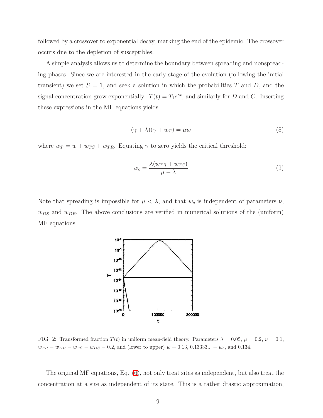followed by a crossover to exponential decay, marking the end of the epidemic. The crossover occurs due to the depletion of susceptibles.

A simple analysis allows us to determine the boundary between spreading and nonspreading phases. Since we are interested in the early stage of the evolution (following the initial transient) we set  $S = 1$ , and seek a solution in which the probabilities T and D, and the signal concentration grow exponentially:  $T(t) = T_1 e^{\gamma t}$ , and similarly for D and C. Inserting these expressions in the MF equations yields

$$
(\gamma + \lambda)(\gamma + w_T) = \mu w \tag{8}
$$

where  $w_T = w + w_{TS} + w_{TR}$ . Equating  $\gamma$  to zero yields the critical threshold:

$$
w_c = \frac{\lambda (w_{TR} + w_{TS})}{\mu - \lambda} \tag{9}
$$

Note that spreading is impossible for  $\mu < \lambda$ , and that  $w_c$  is independent of parameters  $\nu$ ,  $w_{DS}$  and  $w_{DR}$ . The above conclusions are verified in numerical solutions of the (uniform) MF equations.



<span id="page-8-0"></span>FIG. 2: Transformed fraction  $T(t)$  in uniform mean-field theory. Parameters  $\lambda = 0.05$ ,  $\mu = 0.2$ ,  $\nu = 0.1$ ,  $w_{TR} = w_{DR} = w_{TS} = w_{DS} = 0.2$ , and (lower to upper)  $w = 0.13, 0.13333... = w_c$ , and 0.134.

The original MF equations, Eq. [\(6\)](#page-7-0), not only treat sites as independent, but also treat the concentration at a site as independent of its state. This is a rather drastic approximation,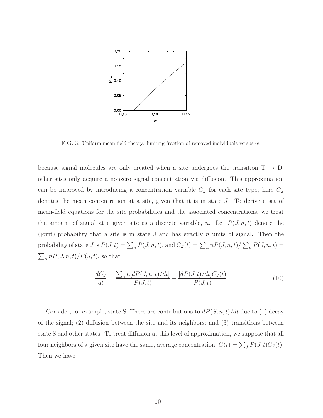

<span id="page-9-0"></span>FIG. 3: Uniform mean-field theory: limiting fraction of removed individuals versus w.

because signal molecules are only created when a site undergoes the transition  $T \rightarrow D$ ; other sites only acquire a nonzero signal concentration via diffusion. This approximation can be improved by introducing a concentration variable  $C_J$  for each site type; here  $C_J$ denotes the mean concentration at a site, given that it is in state J. To derive a set of mean-field equations for the site probabilities and the associated concentrations, we treat the amount of signal at a given site as a discrete variable, n. Let  $P(J, n, t)$  denote the (joint) probability that a site is in state J and has exactly  $n$  units of signal. Then the probability of state  $J$  is  $P(J, t) = \sum_n P(J, n, t)$ , and  $C_J(t) = \sum_n n P(J, n, t) / \sum_n P(J, n, t) =$  $\sum_{n} nP(J,n,t)/P(J,t)$ , so that

<span id="page-9-1"></span>
$$
\frac{dC_J}{dt} = \frac{\sum_{n} n[dP(J, n, t)/dt]}{P(J, t)} - \frac{[dP(J, t)/dt]C_J(t)}{P(J, t)}
$$
(10)

Consider, for example, state S. There are contributions to  $dP(S, n, t)/dt$  due to (1) decay of the signal; (2) diffusion between the site and its neighbors; and (3) transitions between state S and other states. To treat diffusion at this level of approximation, we suppose that all four neighbors of a given site have the same, average concentration,  $C(t) = \sum_{J} P(J, t)C_{J}(t)$ . Then we have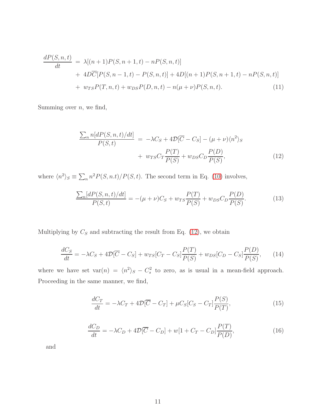$$
\frac{dP(S, n, t)}{dt} = \lambda[(n + 1)P(S, n + 1, t) - nP(S, n, t)] \n+ 4D\overline{C}[P(S, n - 1, t) - P(S, n, t)] + 4D[(n + 1)P(S, n + 1, t) - nP(S, n, t)] \n+ w_{TS}P(T, n, t) + w_{DS}P(D, n, t) - n(\mu + \nu)P(S, n, t).
$$
\n(11)

Summing over  $n$ , we find,

<span id="page-10-0"></span>
$$
\frac{\sum_{n} n[dP(S, n, t)/dt]}{P(S, t)} = -\lambda C_{S} + 4\mathcal{D}[\overline{C} - C_{S}] - (\mu + \nu)\langle n^{2} \rangle_{S}
$$

$$
+ w_{TS}C_{T}\frac{P(T)}{P(S)} + w_{DS}C_{D}\frac{P(D)}{P(S)}, \qquad (12)
$$

where  $\langle n^2 \rangle_S \equiv \sum_n n^2 P(S, n.t)/P(S, t)$ . The second term in Eq. [\(10\)](#page-9-1) involves,

$$
\frac{\sum_{n} [dP(S, n, t)/dt]}{P(S, t)} = -(\mu + \nu)C_{S} + w_{TS} \frac{P(T)}{P(S)} + w_{DS} C_{D} \frac{P(D)}{P(S)}.
$$
\n(13)

Multiplying by  $C_S$  and subtracting the result from Eq. [\(12\)](#page-10-0), we obtain

$$
\frac{dC_S}{dt} = -\lambda C_S + 4\mathcal{D}[\overline{C} - C_S] + w_{TS}[C_T - C_S] \frac{P(T)}{P(S)} + w_{DS}[C_D - C_S] \frac{P(D)}{P(S)},\tag{14}
$$

where we have set  $var(n) = \langle n^2 \rangle_s - C_s^2$  to zero, as is usual in a mean-field approach. Proceeding in the same manner, we find,

$$
\frac{dC_T}{dt} = -\lambda C_T + 4\mathcal{D}[\overline{C} - C_T] + \mu C_S[C_S - C_T] \frac{P(S)}{P(T)},\tag{15}
$$

$$
\frac{dC_D}{dt} = -\lambda C_D + 4\mathcal{D}[\overline{C} - C_D] + w[1 + C_T - C_D]\frac{P(T)}{P(D)},
$$
\n(16)

and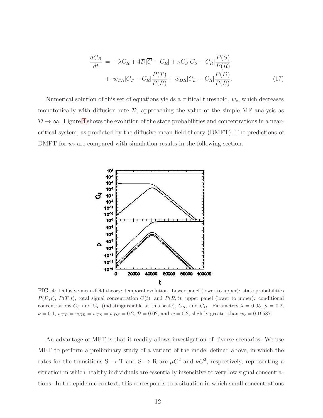$$
\frac{dC_R}{dt} = -\lambda C_R + 4\mathcal{D}[\overline{C} - C_R] + \nu C_S[C_S - C_R] \frac{P(S)}{P(R)} \n+ w_{TR}[C_T - C_R] \frac{P(T)}{P(R)} + w_{DR}[C_D - C_R] \frac{P(D)}{P(R)}.
$$
\n(17)

Numerical solution of this set of equations yields a critical threshold,  $w_c$ , which decreases monotonically with diffusion rate  $\mathcal{D}$ , approaching the value of the simple MF analysis as  $\mathcal{D} \to \infty$ . Figure [4](#page-11-0) shows the evolution of the state probabilities and concentrations in a nearcritical system, as predicted by the diffusive mean-field theory (DMFT). The predictions of DMFT for  $w_c$  are compared with simulation results in the following section.



<span id="page-11-0"></span>FIG. 4: Diffusive mean-field theory: temporal evolution. Lower panel (lower to upper): state probabilities  $P(D, t)$ ,  $P(T, t)$ , total signal concentration  $C(t)$ , and  $P(R, t)$ ; upper panel (lower to upper): conditional concentrations  $C_S$  and  $C_T$  (indistinguishable at this scale),  $C_R$ , and  $C_D$ . Parameters  $\lambda = 0.05$ ,  $\mu = 0.2$ ,  $\nu = 0.1, w_{TR} = w_{DR} = w_{TS} = w_{DS} = 0.2, \mathcal{D} = 0.02, \text{ and } w = 0.2, \text{ slightly greater than } w_c = 0.19587.$ 

An advantage of MFT is that it readily allows investigation of diverse scenarios. We use MFT to perform a preliminary study of a variant of the model defined above, in which the rates for the transitions  $S \to T$  and  $S \to R$  are  $\mu C^2$  and  $\nu C^2$ , respectively, representing a situation in which healthy individuals are essentially insensitive to very low signal concentrations. In the epidemic context, this corresponds to a situation in which small concentrations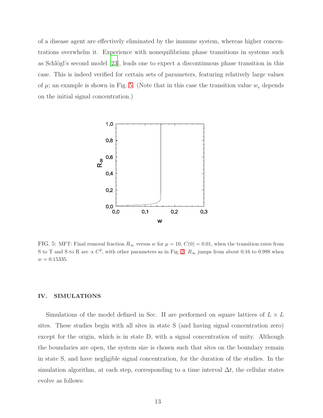of a disease agent are effectively eliminated by the immune system, whereas higher concentrations overwhelm it. Experience with nonequilibrium phase transitions in systems such as Schlögl's second model  $[23]$ , leads one to expect a discontinuous phase transition in this case. This is indeed verified for certain sets of parameters, featuring relatively large values of  $\mu$ ; an example is shown in Fig. [5.](#page-12-0) (Note that in this case the transition value  $w_c$  depends on the initial signal concentration.)



<span id="page-12-0"></span>FIG. 5: MFT: Final removal fraction  $R_{\infty}$  versus w for  $\mu = 10$ ,  $C(0) = 0.01$ , when the transition rates from S to T and S to R are  $\propto C^2$ , with other parameters as in Fig. [2.](#page-8-0)  $R_{\infty}$  jumps from about 0.16 to 0.998 when  $w = 0.15335.$ 

#### IV. SIMULATIONS

Simulations of the model defined in Sec. II are performed on square lattices of  $L \times L$ sites. These studies begin with all sites in state S (and having signal concentration zero) except for the origin, which is in state D, with a signal concentration of unity. Although the boundaries are open, the system size is chosen such that sites on the boundary remain in state S, and have negligible signal concentration, for the duration of the studies. In the simulation algorithm, at each step, corresponding to a time interval  $\Delta t$ , the cellular states evolve as follows: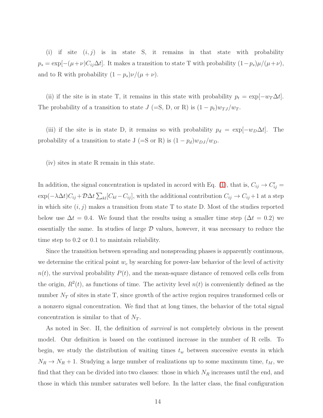(i) if site  $(i, j)$  is in state S, it remains in that state with probability  $p_s = \exp[-(\mu + \nu)C_{ij}\Delta t]$ . It makes a transition to state T with probability  $(1-p_s)\mu/(\mu+\nu)$ , and to R with probability  $(1 - p_s)\nu/(\mu + \nu)$ .

(ii) if the site is in state T, it remains in this state with probability  $p_t = \exp[-w_T \Delta t]$ . The probability of a transition to state  $J$  (=S, D, or R) is  $(1 - p_t)w_{TJ}/w_T$ .

(iii) if the site is in state D, it remains so with probability  $p_d = \exp[-w_D\Delta t]$ . The probability of a transition to state J (=S or R) is  $(1 - p_d)w_{DJ}/w_D$ .

(iv) sites in state R remain in this state.

In addition, the signal concentration is updated in accord with Eq. [\(1\)](#page-5-1), that is,  $C_{ij} \rightarrow C'_{ij}$  $\exp(-\lambda \Delta t)C_{ij} + \mathcal{D}\Delta t \sum_{kl}[C_{kl}-C_{ij}],$  with the additional contribution  $C_{ij} \to C_{ij}+1$  at a step in which site  $(i, j)$  makes a transition from state T to state D. Most of the studies reported below use  $\Delta t = 0.4$ . We found that the results using a smaller time step ( $\Delta t = 0.2$ ) we essentially the same. In studies of large  $D$  values, however, it was necessary to reduce the time step to 0.2 or 0.1 to maintain reliability.

Since the transition between spreading and nonspreading phases is apparently continuous, we determine the critical point  $w_c$  by searching for power-law behavior of the level of activity  $n(t)$ , the survival probability  $P(t)$ , and the mean-square distance of removed cells cells from the origin,  $R^2(t)$ , as functions of time. The activity level  $n(t)$  is conveniently defined as the number  $N_T$  of sites in state T, since growth of the active region requires transformed cells or a nonzero signal concentration. We find that at long times, the behavior of the total signal concentration is similar to that of  $N_T$ .

As noted in Sec. II, the definition of survival is not completely obvious in the present model. Our definition is based on the continued increase in the number of R cells. To begin, we study the distribution of waiting times  $t_w$  between successive events in which  $N_R \rightarrow N_R + 1$ . Studying a large number of realizations up to some maximum time,  $t_M$ , we find that they can be divided into two classes: those in which  $N_R$  increases until the end, and those in which this number saturates well before. In the latter class, the final configuration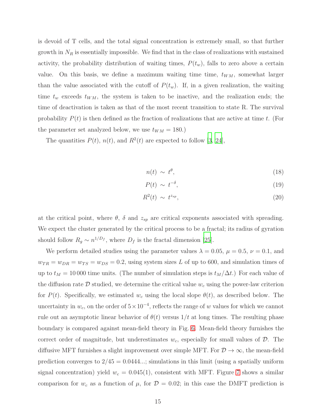is devoid of T cells, and the total signal concentration is extremely small, so that further growth in  $N_R$  is essentially impossible. We find that in the class of realizations with sustained activity, the probability distribution of waiting times,  $P(t_w)$ , falls to zero above a certain value. On this basis, we define a maximum waiting time time,  $t_{WM}$ , somewhat larger than the value associated with the cutoff of  $P(t_w)$ . If, in a given realization, the waiting time  $t_w$  exceeds  $t_{WM}$ , the system is taken to be inactive, and the realization ends; the time of deactivation is taken as that of the most recent transition to state R. The survival probability  $P(t)$  is then defined as the fraction of realizations that are active at time t. (For the parameter set analyzed below, we use  $t_{WM} = 180.$ )

The quantities  $P(t)$ ,  $n(t)$ , and  $R^2(t)$  are expected to follow [\[3](#page-23-2), [24](#page-24-3)],

$$
n(t) \sim t^{\theta}, \tag{18}
$$

$$
P(t) \sim t^{-\delta},\tag{19}
$$

$$
R^2(t) \sim t^{z_{sp}},\tag{20}
$$

at the critical point, where  $\theta$ ,  $\delta$  and  $z_{sp}$  are critical exponents associated with spreading. We expect the cluster generated by the critical process to be a fractal; its radius of gyration should follow  $R_g \sim n^{1/D_f}$ , where  $D_f$  is the fractal dimension [\[25](#page-24-4)].

We perform detailed studies using the parameter values  $\lambda = 0.05$ ,  $\mu = 0.5$ ,  $\nu = 0.1$ , and  $w_{TR} = w_{DR} = w_{TS} = w_{DS} = 0.2$ , using system sizes L of up to 600, and simulation times of up to  $t_M = 10000$  time units. (The number of simulation steps is  $t_M/\Delta t$ .) For each value of the diffusion rate  $\mathcal D$  studied, we determine the critical value  $w_c$  using the power-law criterion for  $P(t)$ . Specifically, we estimated  $w_c$  using the local slope  $\theta(t)$ , as described below. The uncertainty in  $w_c$ , on the order of  $5 \times 10^{-4}$ , reflects the range of w values for which we cannot rule out an asymptotic linear behavior of  $\theta(t)$  versus  $1/t$  at long times. The resulting phase boundary is compared against mean-field theory in Fig. [6.](#page-15-0) Mean-field theory furnishes the correct order of magnitude, but underestimates  $w_c$ , especially for small values of  $\mathcal{D}$ . The diffusive MFT furnishes a slight improvement over simple MFT. For  $D \to \infty$ , the mean-field prediction converges to  $2/45 = 0.0444...$ ; simulations in this limit (using a spatially uniform signal concentration) yield  $w_c = 0.045(1)$ , consistent with MFT. Figure [7](#page-16-0) shows a similar comparison for  $w_c$  as a function of  $\mu$ , for  $\mathcal{D} = 0.02$ ; in this case the DMFT prediction is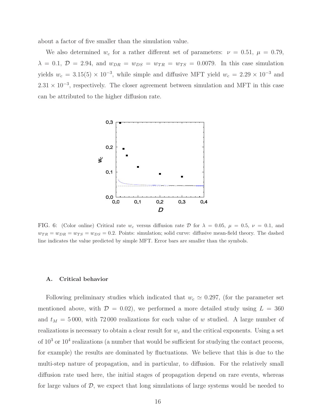about a factor of five smaller than the simulation value.

We also determined  $w_c$  for a rather different set of parameters:  $\nu = 0.51, \mu = 0.79,$  $\lambda = 0.1, \mathcal{D} = 2.94, \text{ and } w_{DR} = w_{DS} = w_{TR} = w_{TS} = 0.0079.$  In this case simulation yields  $w_c = 3.15(5) \times 10^{-3}$ , while simple and diffusive MFT yield  $w_c = 2.29 \times 10^{-3}$  and  $2.31 \times 10^{-3}$ , respectively. The closer agreement between simulation and MFT in this case can be attributed to the higher diffusion rate.



<span id="page-15-0"></span>FIG. 6: (Color online) Critical rate w<sub>c</sub> versus diffusion rate  $\mathcal D$  for  $\lambda = 0.05$ ,  $\mu = 0.5$ ,  $\nu = 0.1$ , and  $w_{TR} = w_{DR} = w_{TS} = w_{DS} = 0.2$ . Points: simulation; solid curve: diffusive mean-field theory. The dashed line indicates the value predicted by simple MFT. Error bars are smaller than the symbols.

#### A. Critical behavior

Following preliminary studies which indicated that  $w_c \simeq 0.297$ , (for the parameter set mentioned above, with  $\mathcal{D} = 0.02$ , we performed a more detailed study using  $L = 360$ and  $t_M = 5000$ , with 72000 realizations for each value of w studied. A large number of realizations is necessary to obtain a clear result for  $w_c$  and the critical exponents. Using a set of  $10^3$  or  $10^4$  realizations (a number that would be sufficient for studying the contact process, for example) the results are dominated by fluctuations. We believe that this is due to the multi-step nature of propagation, and in particular, to diffusion. For the relatively small diffusion rate used here, the initial stages of propagation depend on rare events, whereas for large values of D, we expect that long simulations of large systems would be needed to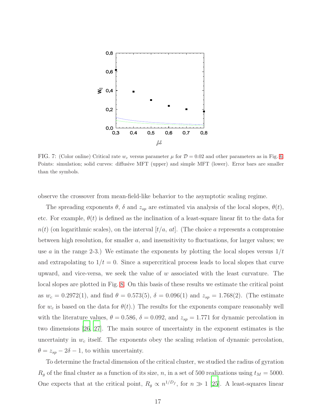

<span id="page-16-0"></span>FIG. 7: (Color online) Critical rate  $w_c$  versus parameter  $\mu$  for  $\mathcal{D} = 0.02$  and other parameters as in Fig. [6.](#page-15-0) Points: simulation; solid curves: diffusive MFT (upper) and simple MFT (lower). Error bars are smaller than the symbols.

observe the crossover from mean-field-like behavior to the asymptotic scaling regime.

The spreading exponents  $\theta$ ,  $\delta$  and  $z_{sp}$  are estimated via analysis of the local slopes,  $\theta(t)$ , etc. For example,  $\theta(t)$  is defined as the inclination of a least-square linear fit to the data for  $n(t)$  (on logarithmic scales), on the interval  $[t/a, at]$ . (The choice a represents a compromise between high resolution, for smaller  $a$ , and insensitivity to fluctuations, for larger values; we use a in the range 2-3.) We estimate the exponents by plotting the local slopes versus  $1/t$ and extrapolating to  $1/t = 0$ . Since a supercritical process leads to local slopes that curve upward, and vice-versa, we seek the value of  $w$  associated with the least curvature. The local slopes are plotted in Fig. [8.](#page-17-0) On this basis of these results we estimate the critical point as  $w_c = 0.2972(1)$ , and find  $\theta = 0.573(5)$ ,  $\delta = 0.096(1)$  and  $z_{sp} = 1.768(2)$ . (The estimate for  $w_c$  is based on the data for  $\theta(t)$ .) The results for the exponents compare reasonably well with the literature values,  $\theta = 0.586$ ,  $\delta = 0.092$ , and  $z_{sp} = 1.771$  for dynamic percolation in two dimensions [\[26](#page-24-5), [27\]](#page-24-6). The main source of uncertainty in the exponent estimates is the uncertainty in  $w_c$  itself. The exponents obey the scaling relation of dynamic percolation,  $\theta = z_{sp} - 2\delta - 1$ , to within uncertainty.

To determine the fractal dimension of the critical cluster, we studied the radius of gyration  $R_g$  of the final cluster as a function of its size, n, in a set of 500 realizations using  $t_M = 5000$ . One expects that at the critical point,  $R_g \propto n^{1/D_f}$ , for  $n \gg 1$  [\[25\]](#page-24-4). A least-squares linear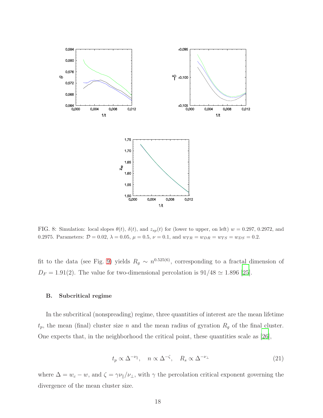

<span id="page-17-0"></span>FIG. 8: Simulation: local slopes  $\theta(t)$ ,  $\delta(t)$ , and  $z_{sp}(t)$  for (lower to upper, on left)  $w = 0.297, 0.2972,$  and 0.2975. Parameters:  $\mathcal{D} = 0.02$ ,  $\lambda = 0.05$ ,  $\mu = 0.5$ ,  $\nu = 0.1$ , and  $w_{TR} = w_{DR} = w_{TS} = w_{DS} = 0.2$ .

fit to the data (see Fig. [9\)](#page-18-0) yields  $R_g \sim n^{0.525(6)}$ , corresponding to a fractal dimension of  $D_F = 1.91(2)$ . The value for two-dimensional percolation is  $91/48 \simeq 1.896$  [\[25\]](#page-24-4).

#### B. Subcritical regime

In the subcritical (nonspreading) regime, three quantities of interest are the mean lifetime  $t_p$ , the mean (final) cluster size n and the mean radius of gyration  $R_g$  of the final cluster. One expects that, in the neighborhood the critical point, these quantities scale as [\[26\]](#page-24-5),

$$
t_p \propto \Delta^{-\nu_{\parallel}}, \quad n \propto \Delta^{-\zeta}, \quad R_s \propto \Delta^{-\nu_{\perp}} \tag{21}
$$

where  $\Delta = w_c - w$ , and  $\zeta = \gamma \nu_{\parallel}/\nu_{\perp}$ , with  $\gamma$  the percolation critical exponent governing the divergence of the mean cluster size.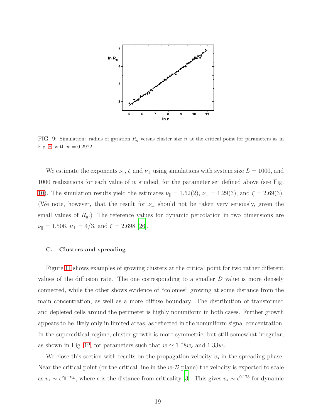

<span id="page-18-0"></span>FIG. 9: Simulation: radius of gyration  $R_g$  versus cluster size n at the critical point for parameters as in Fig. [8,](#page-17-0) with  $w = 0.2972$ .

We estimate the exponents  $\nu_{\parallel}$ ,  $\zeta$  and  $\nu_{\perp}$  using simulations with system size  $L = 1000$ , and 1000 realizations for each value of  $w$  studied, for the parameter set defined above (see Fig. [10\)](#page-19-0). The simulation results yield the estimates  $\nu_{\parallel} = 1.52(2), \nu_{\perp} = 1.29(3), \text{ and } \zeta = 2.69(3).$ (We note, however, that the result for  $\nu_{\perp}$  should not be taken very seriously, given the small values of  $R_g$ .) The reference values for dynamic percolation in two dimensions are  $\nu_{\parallel} = 1.506, \nu_{\perp} = 4/3, \text{ and } \zeta = 2.698 \; [26].$  $\nu_{\parallel} = 1.506, \nu_{\perp} = 4/3, \text{ and } \zeta = 2.698 \; [26].$  $\nu_{\parallel} = 1.506, \nu_{\perp} = 4/3, \text{ and } \zeta = 2.698 \; [26].$ 

## C. Clusters and spreading

Figure [11](#page-20-0) shows examples of growing clusters at the critical point for two rather different values of the diffusion rate. The one corresponding to a smaller  $D$  value is more densely connected, while the other shows evidence of "colonies" growing at some distance from the main concentration, as well as a more diffuse boundary. The distribution of transformed and depleted cells around the perimeter is highly nonuniform in both cases. Further growth appears to be likely only in limited areas, as reflected in the nonuniform signal concentration. In the supercritical regime, cluster growth is more symmetric, but still somewhat irregular, as shown in Fig. [12,](#page-20-1) for parameters such that  $w \simeq 1.08w_c$  and  $1.33w_c$ .

We close this section with results on the propagation velocity  $v_s$  in the spreading phase. Near the critical point (or the critical line in the  $w$ - $\mathcal{D}$  plane) the velocity is expected to scale as  $v_s \sim \epsilon^{\nu_{||}-\nu_{\perp}}$ , where  $\epsilon$  is the distance from criticality [\[3](#page-23-2)]. This gives  $v_s \sim \epsilon^{0.173}$  for dynamic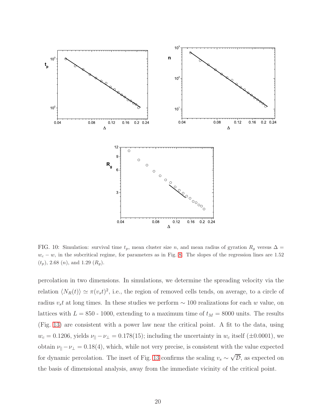

<span id="page-19-0"></span>FIG. 10: Simulation: survival time  $t_p$ , mean cluster size n, and mean radius of gyration  $R_q$  versus  $\Delta =$  $w_c - w$ , in the subcritical regime, for parameters as in Fig. [8.](#page-17-0) The slopes of the regression lines are 1.52  $(t_p)$ , 2.68  $(n)$ , and 1.29  $(R_g)$ .

percolation in two dimensions. In simulations, we determine the spreading velocity via the relation  $\langle N_R(t) \rangle \simeq \pi (v_s t)^2$ , i.e., the region of removed cells tends, on average, to a circle of radius  $v_st$  at long times. In these studies we perform  $\sim 100$  realizations for each w value, on lattices with  $L = 850 - 1000$ , extending to a maximum time of  $t_M = 8000$  units. The results (Fig. [13\)](#page-21-0) are consistent with a power law near the critical point. A fit to the data, using  $w_c = 0.1206$ , yields  $\nu_{\parallel} - \nu_{\perp} = 0.178(15)$ ; including the uncertainty in  $w_c$  itself ( $\pm 0.0001$ ), we obtain  $\nu_{\parallel}-\nu_{\perp}=0.18(4)$ , which, while not very precise, is consistent with the value expected for dynamic percolation. The inset of Fig. [13](#page-21-0) confirms the scaling  $v_s \sim \sqrt{\mathcal{D}}$ , as expected on the basis of dimensional analysis, away from the immediate vicinity of the critical point.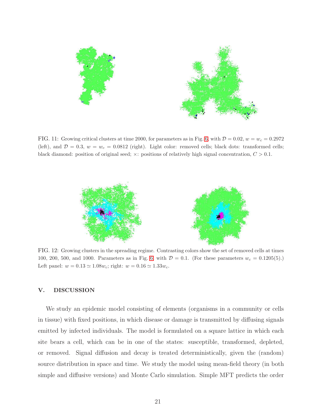

<span id="page-20-0"></span>FIG. 11: Growing critical clusters at time 2000, for parameters as in Fig. [6,](#page-15-0) with  $D = 0.02$ ,  $w = w_c = 0.2972$ (left), and  $\mathcal{D} = 0.3$ ,  $w = w_c = 0.0812$  (right). Light color: removed cells; black dots: transformed cells; black diamond: position of original seed;  $\times$ : positions of relatively high signal concentration,  $C > 0.1$ .



<span id="page-20-1"></span>FIG. 12: Growing clusters in the spreading regime. Contrasting colors show the set of removed cells at times 100, 200, 500, and 1000. Parameters as in Fig. [6,](#page-15-0) with  $\mathcal{D} = 0.1$ . (For these parameters  $w_c = 0.1205(5)$ .) Left panel:  $w = 0.13 \simeq 1.08w_c$ ; right:  $w = 0.16 \simeq 1.33w_c$ .

### V. DISCUSSION

We study an epidemic model consisting of elements (organisms in a community or cells in tissue) with fixed positions, in which disease or damage is transmitted by diffusing signals emitted by infected individuals. The model is formulated on a square lattice in which each site bears a cell, which can be in one of the states: susceptible, transformed, depleted, or removed. Signal diffusion and decay is treated deterministically, given the (random) source distribution in space and time. We study the model using mean-field theory (in both simple and diffusive versions) and Monte Carlo simulation. Simple MFT predicts the order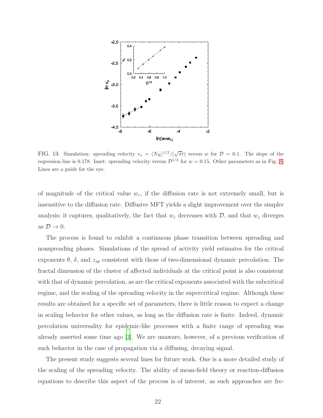

<span id="page-21-0"></span>FIG. 13: Simulation: spreading velocity  $v_s = \langle N_R \rangle^{1/2}/(\sqrt{\pi}t)$  versus w for  $\mathcal{D} = 0.1$ . The slope of the regression line is 0.178. Inset: spreading velocity versus  $\mathcal{D}^{1/2}$  for  $w = 0.15$ . Other parameters as in Fig. [8.](#page-17-0) Lines are a guide for the eye.

of magnitude of the critical value  $w_c$ , if the diffusion rate is not extremely small, but is insensitive to the diffusion rate. Diffusive MFT yields a slight improvement over the simpler analysis; it captures, qualitatively, the fact that  $w_c$  decreases with  $\mathcal{D}$ , and that  $w_c$  diverges as  $\mathcal{D} \to 0$ .

The process is found to exhibit a continuous phase transition between spreading and nonspreading phases. Simulations of the spread of activity yield estimates for the critical exponents  $\theta$ ,  $\delta$ , and  $z_{sp}$  consistent with those of two-dimensional dynamic percolation. The fractal dimension of the cluster of affected individuals at the critical point is also consistent with that of dynamic percolation, as are the critical exponents associated with the subcritical regime, and the scaling of the spreading velocity in the supercritical regime. Although these results are obtained for a specific set of parameters, there is little reason to expect a change in scaling behavior for other values, as long as the diffusion rate is finite. Indeed, dynamic percolation universality for epidemic-like processes with a finite range of spreading was already asserted some time ago [\[3](#page-23-2)]. We are unaware, however, of a previous verification of such behavior in the case of propagation via a diffusing, decaying signal.

The present study suggests several lines for future work. One is a more detailed study of the scaling of the spreading velocity. The ability of mean-field theory or reaction-diffusion equations to describe this aspect of the process is of interest, as such approaches are fre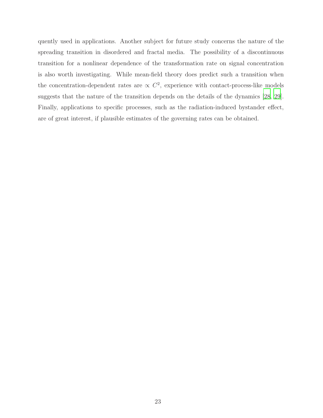quently used in applications. Another subject for future study concerns the nature of the spreading transition in disordered and fractal media. The possibility of a discontinuous transition for a nonlinear dependence of the transformation rate on signal concentration is also worth investigating. While mean-field theory does predict such a transition when the concentration-dependent rates are  $\propto C^2$ , experience with contact-process-like models suggests that the nature of the transition depends on the details of the dynamics [\[28,](#page-24-7) [29\]](#page-24-8). Finally, applications to specific processes, such as the radiation-induced bystander effect, are of great interest, if plausible estimates of the governing rates can be obtained.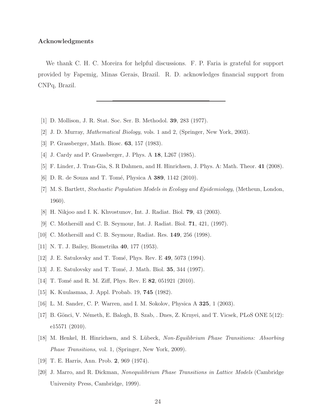#### Acknowledgments

We thank C. H. C. Moreira for helpful discussions. F. P. Faria is grateful for support provided by Fapemig, Minas Gerais, Brazil. R. D. acknowledges financial support from CNPq, Brazil.

- <span id="page-23-1"></span><span id="page-23-0"></span>[1] D. Mollison, J. R. Stat. Soc. Ser. B. Methodol. 39, 283 (1977).
- <span id="page-23-2"></span>[2] J. D. Murray, Mathematical Biology, vols. 1 and 2, (Springer, New York, 2003).
- [3] P. Grassberger, Math. Biosc. 63, 157 (1983).
- [4] J. Cardy and P. Grassberger, J. Phys. A 18, L267 (1985).
- [5] F. Linder, J. Tran-Gia, S. R Dahmen, and H. Hinrichsen, J. Phys. A: Math. Theor. 41 (2008).
- <span id="page-23-4"></span><span id="page-23-3"></span>[6] D. R. de Souza and T. Tomé, Physica A 389, 1142 (2010).
- [7] M. S. Bartlett, Stochastic Population Models in Ecology and Epidemiology, (Metheun, London, 1960).
- <span id="page-23-5"></span>[8] H. Nikjoo and I. K. Khvostunov, Int. J. Radiat. Biol. 79, 43 (2003).
- <span id="page-23-6"></span>[9] C. Mothersill and C. B. Seymour, Int. J. Radiat. Biol. 71, 421, (1997).
- [10] C. Mothersill and C. B. Seymour, Radiat. Res. 149, 256 (1998).
- <span id="page-23-7"></span>[11] N. T. J. Bailey, Biometrika 40, 177 (1953).
- [12] J. E. Satulovsky and T. Tomé, Phys. Rev. E 49, 5073 (1994).
- [13] J. E. Satulovsky and T. Tomé, J. Math. Biol. 35, 344 (1997).
- <span id="page-23-8"></span>[14] T. Tomé and R. M. Ziff, Phys. Rev. E  $82$ , 051921 (2010).
- <span id="page-23-9"></span>[15] K. Kuulasmaa, J. Appl. Probab. 19, 745 (1982).
- [16] L. M. Sander, C. P. Warren, and I. M. Sokolov, Physica A 325, 1 (2003).
- <span id="page-23-10"></span>[17] B. Gönci, V. Németh, E. Balogh, B. Szab, . Dnes, Z. Krnyei, and T. Vicsek, PLoS ONE 5(12): e15571 (2010).
- <span id="page-23-11"></span>[18] M. Henkel, H. Hinrichsen, and S. L¨ubeck, Non-Equilibrium Phase Transitions: Absorbing Phase Transitions, vol. 1, (Springer, New York, 2009).
- <span id="page-23-12"></span>[19] T. E. Harris, Ann. Prob. 2, 969 (1974).
- <span id="page-23-13"></span>[20] J. Marro, and R. Dickman, Nonequilibrium Phase Transitions in Lattice Models (Cambridge University Press, Cambridge, 1999).